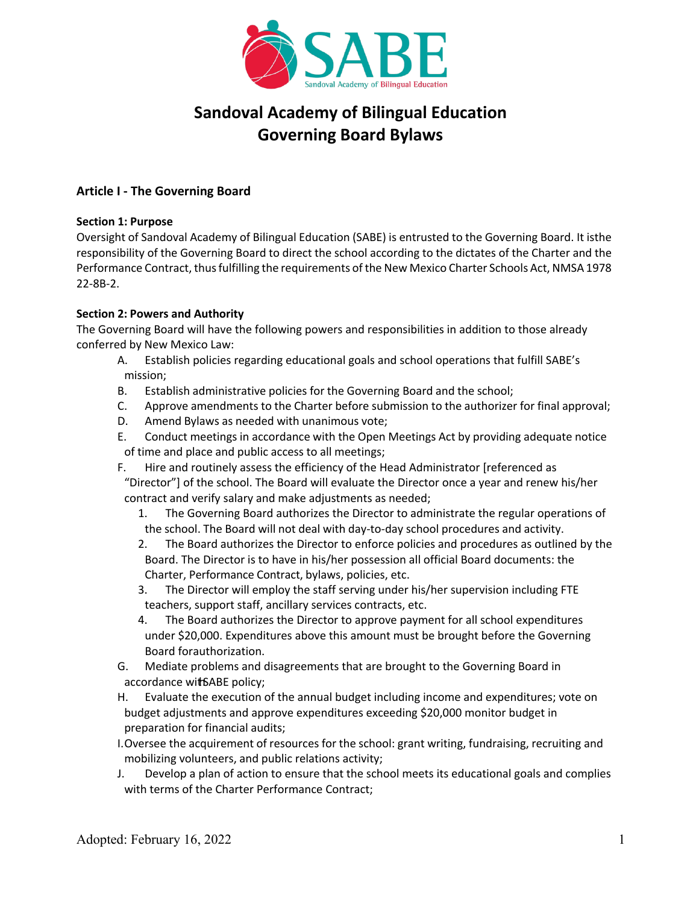

# **Sandoval Academy of Bilingual Education Governing Board Bylaws**

# **Article I - The Governing Board**

# **Section 1: Purpose**

Oversight of Sandoval Academy of Bilingual Education (SABE) is entrusted to the Governing Board. It isthe responsibility of the Governing Board to direct the school according to the dictates of the Charter and the Performance Contract, thus fulfilling the requirements of the New Mexico Charter Schools Act, NMSA 1978 22-8B-2.

# **Section 2: Powers and Authority**

The Governing Board will have the following powers and responsibilities in addition to those already conferred by New Mexico Law:

- A. Establish policies regarding educational goals and school operations that fulfill SABE's mission;
- B. Establish administrative policies for the Governing Board and the school;
- C. Approve amendments to the Charter before submission to the authorizer for final approval;
- D. Amend Bylaws as needed with unanimous vote;
- E. Conduct meetings in accordance with the Open Meetings Act by providing adequate notice of time and place and public access to all meetings;
- F. Hire and routinely assess the efficiency of the Head Administrator [referenced as

"Director"] of the school. The Board will evaluate the Director once a year and renew his/her contract and verify salary and make adjustments as needed;

- 1. The Governing Board authorizes the Director to administrate the regular operations of the school. The Board will not deal with day-to-day school procedures and activity.
- 2. The Board authorizes the Director to enforce policies and procedures as outlined by the Board. The Director is to have in his/her possession all official Board documents: the Charter, Performance Contract, bylaws, policies, etc.
- 3. The Director will employ the staff serving under his/her supervision including FTE teachers, support staff, ancillary services contracts, etc.
- 4. The Board authorizes the Director to approve payment for all school expenditures under \$20,000. Expenditures above this amount must be brought before the Governing Board forauthorization.
- G. Mediate problems and disagreements that are brought to the Governing Board in accordance wit SABE policy;
- H. Evaluate the execution of the annual budget including income and expenditures; vote on budget adjustments and approve expenditures exceeding \$20,000 monitor budget in preparation for financial audits;
- I.Oversee the acquirement of resources for the school: grant writing, fundraising, recruiting and mobilizing volunteers, and public relations activity;
- J. Develop a plan of action to ensure that the school meets its educational goals and complies with terms of the Charter Performance Contract;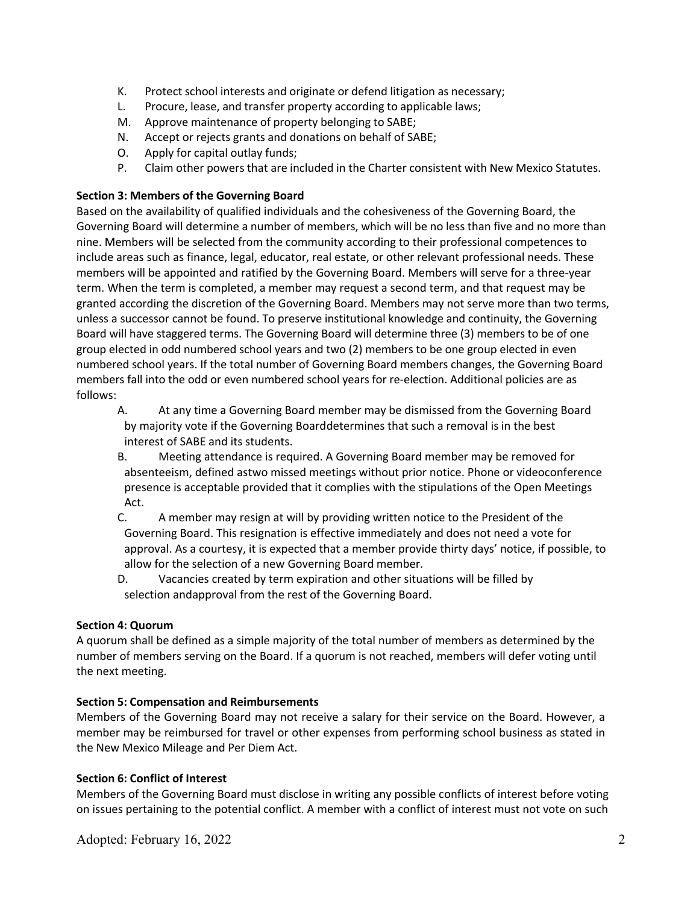- K. Protect school interests and originate or defend litigation as necessary;
- L. Procure, lease, and transfer property according to applicable laws;
- M. Approve maintenance of property belonging to SABE;
- N. Accept or rejects grants and donations on behalf of SABE;
- O. Apply for capital outlay funds;
- P. Claim other powers that are included in the Charter consistent with New Mexico Statutes.

# **Section 3: Members of the Governing Board**

Based on the availability of qualified individuals and the cohesiveness of the Governing Board, the Governing Board will determine a number of members, which will be no less than five and no more than nine. Members will be selected from the community according to their professional competences to include areas such as finance, legal, educator, real estate, or other relevant professional needs. These members will be appointed and ratified by the Governing Board. Members will serve for a three-year term. When the term is completed, a member may request a second term, and that request may be granted according the discretion of the Governing Board. Members may not serve more than two terms, unless a successor cannot be found. To preserve institutional knowledge and continuity, the Governing Board will have staggered terms. The Governing Board will determine three (3) members to be of one group elected in odd numbered school years and two (2) members to be one group elected in even numbered school years. If the total number of Governing Board members changes, the Governing Board members fall into the odd or even numbered school years for re-election. Additional policies are as follows:

A. At any time a Governing Board member may be dismissed from the Governing Board by majority vote if the Governing Board determines that such a removal is in the best interest of SABE and its students.

- B. Meeting attendance is required. A Governing Board member may be removed for absenteeism, defined astwo missed meetings without prior notice. Phone or videoconference presence is acceptable provided that it complies with the stipulations of the Open Meetings Act.
- C. A member may resign at will by providing written notice to the President of the Governing Board. This resignation is effective immediately and does not need a vote for approval. As a courtesy, it is expected that a member provide thirty days' notice, if possible, to allow for the selection of a new Governing Board member.
- D. Vacancies created by term expiration and other situations will be filled by selection andapproval from the rest of the Governing Board.

# **Section 4: Quorum**

A quorum shall be defined as a simple majority of the total number of members as determined by the number of members serving on the Board. If a quorum is not reached, members will defer voting until the next meeting.

# **Section 5: Compensation and Reimbursements**

Members of the Governing Board may not receive a salary for their service on the Board. However, a member may be reimbursed for travel or other expenses from performing school business as stated in the New Mexico Mileage and Per Diem Act.

# **Section 6: Conflict of Interest**

Members of the Governing Board must disclose in writing any possible conflicts of interest before voting on issues pertaining to the potential conflict. A member with a conflict of interest must not vote on such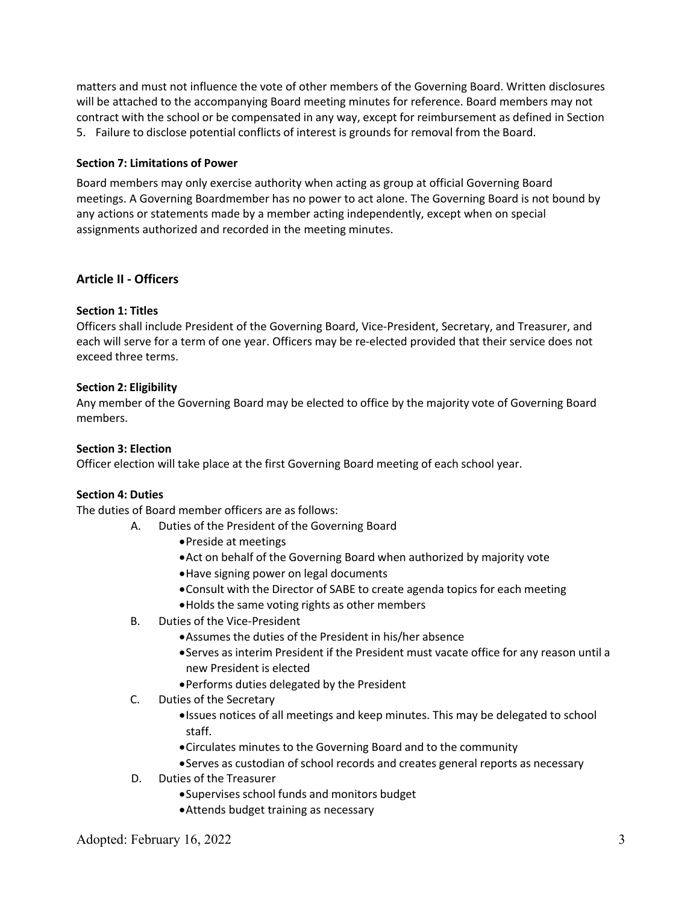matters and must not influence the vote of other members of the Governing Board. Written disclosures will be attached to the accompanying Board meeting minutes for reference. Board members may not contract with the school or be compensated in any way, except for reimbursement as defined in Section 5. Failure to disclose potential conflicts of interest is grounds for removal from the Board.

# **Section 7: Limitations of Power**

Board members may only exercise authority when acting as group at official Governing Board meetings. A Governing Boardmember has no power to act alone. The Governing Board is not bound by any actions or statements made by a member acting independently, except when on special assignments authorized and recorded in the meeting minutes.

# **Article II - Officers**

# **Section 1: Titles**

Officers shall include President of the Governing Board, Vice-President, Secretary, and Treasurer, and each will serve for a term of one year. Officers may be re-elected provided that their service does not exceed three terms.

# **Section 2: Eligibility**

Any member of the Governing Board may be elected to office by the majority vote of Governing Board members.

# **Section 3: Election**

Officer election will take place at the first Governing Board meeting of each school year.

# **Section 4: Duties**

The duties of Board member officers are as follows:

- A. Duties of the President of the Governing Board
	- •Preside at meetings
	- •Act on behalf of the Governing Board when authorized by majority vote
	- •Have signing power on legal documents
	- •Consult with the Director of SABE to create agenda topics for each meeting
	- •Holds the same voting rights as other members
- B. Duties of the Vice-President
	- •Assumes the duties of the President in his/her absence
	- •Serves as interim President if the President must vacate office for any reason until a new President is elected
	- •Performs duties delegated by the President
- C. Duties of the Secretary
	- •Issues notices of all meetings and keep minutes. This may be delegated to school staff.
	- •Circulates minutes to the Governing Board and to the community
	- •Serves as custodian of school records and creates general reports as necessary
- D. Duties of the Treasurer
	- •Supervises school funds and monitors budget
	- •Attends budget training as necessary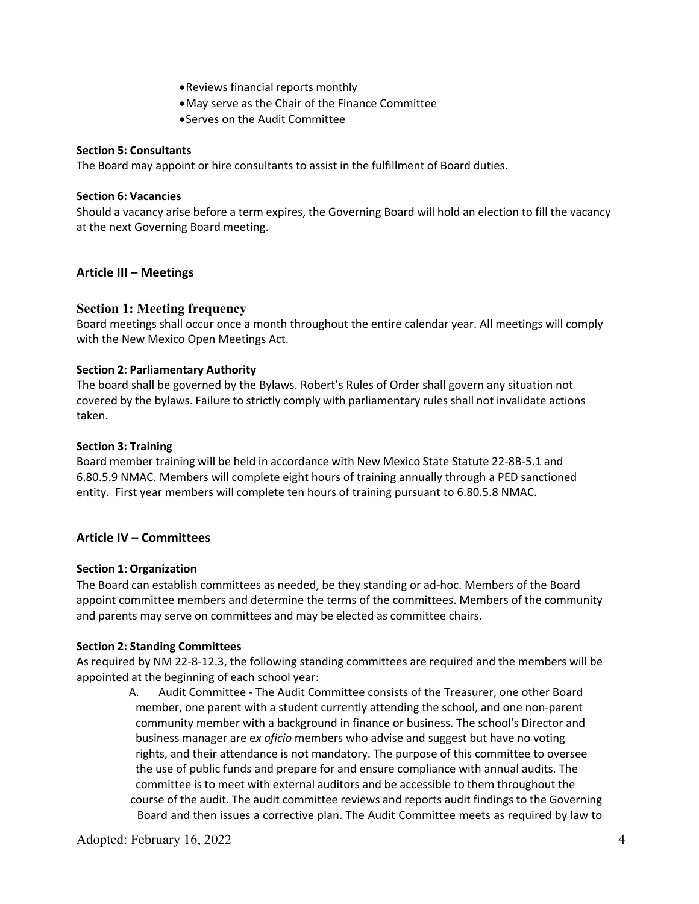- •Reviews financial reports monthly
- •May serve as the Chair of the Finance Committee
- •Serves on the Audit Committee

#### **Section 5: Consultants**

The Board may appoint or hire consultants to assist in the fulfillment of Board duties.

#### **Section 6: Vacancies**

Should a vacancy arise before a term expires, the Governing Board will hold an election to fill the vacancy at the next Governing Board meeting.

# **Article III – Meetings**

# **Section 1: Meeting frequency**

Board meetings shall occur once a month throughout the entire calendar year. All meetings will comply with the New Mexico Open Meetings Act.

#### **Section 2: Parliamentary Authority**

The board shall be governed by the Bylaws. Robert's Rules of Order shall govern any situation not covered by the bylaws. Failure to strictly comply with parliamentary rules shall not invalidate actions taken.

#### **Section 3: Training**

Board member training will be held in accordance with New Mexico State Statute 22-8B-5.1 and 6.80.5.9 NMAC. Members will complete eight hours of training annually through a PED sanctioned entity. First year members will complete ten hours of training pursuant to 6.80.5.8 NMAC.

# **Article IV – Committees**

#### **Section 1: Organization**

The Board can establish committees as needed, be they standing or ad-hoc. Members of the Board appoint committee members and determine the terms of the committees. Members of the community and parents may serve on committees and may be elected as committee chairs.

#### **Section 2: Standing Committees**

As required by NM 22-8-12.3, the following standing committees are required and the members will be appointed at the beginning of each school year:

A. Audit Committee - The Audit Committee consists of the Treasurer, one other Board member, one parent with a student currently attending the school, and one non-parent community member with a background in finance or business. The school's Director and business manager are e*x oficio* members who advise and suggest but have no voting rights, and their attendance is not mandatory. The purpose of this committee to oversee the use of public funds and prepare for and ensure compliance with annual audits. The committee is to meet with external auditors and be accessible to them throughout the course of the audit. The audit committee reviews and reports audit findings to the Governing Board and then issues a corrective plan. The Audit Committee meets as required by law to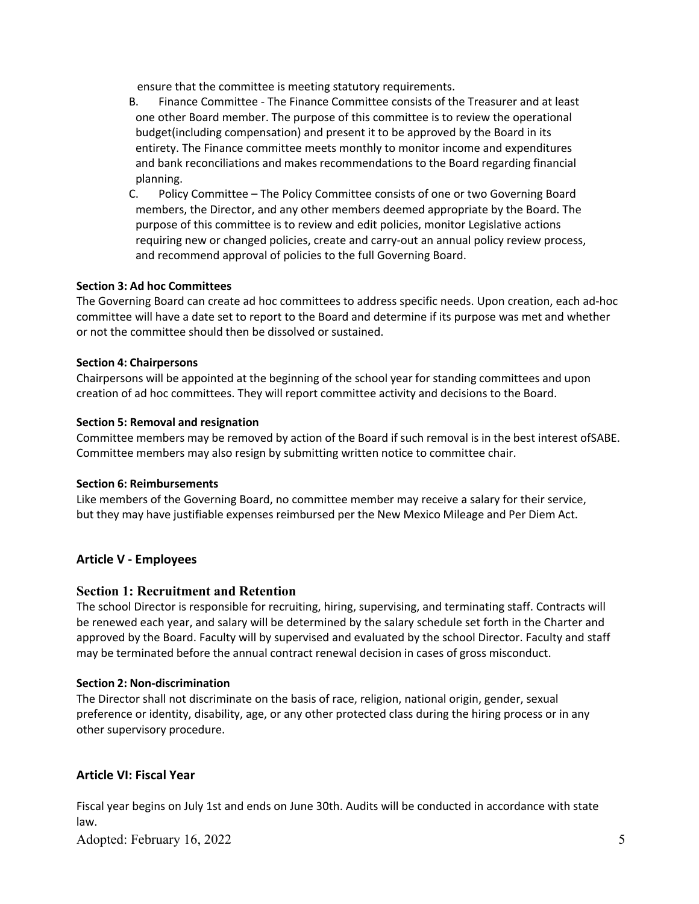ensure that the committee is meeting statutory requirements.

- B. Finance Committee The Finance Committee consists of the Treasurer and at least one other Board member. The purpose of this committee is to review the operational budget(including compensation) and present it to be approved by the Board in its entirety. The Finance committee meets monthly to monitor income and expenditures and bank reconciliations and makes recommendations to the Board regarding financial planning.
- C. Policy Committee The Policy Committee consists of one or two Governing Board members, the Director, and any other members deemed appropriate by the Board. The purpose of this committee is to review and edit policies, monitor Legislative actions requiring new or changed policies, create and carry-out an annual policy review process, and recommend approval of policies to the full Governing Board.

# **Section 3: Ad hoc Committees**

The Governing Board can create ad hoc committees to address specific needs. Upon creation, each ad-hoc committee will have a date set to report to the Board and determine if its purpose was met and whether or not the committee should then be dissolved or sustained.

#### **Section 4: Chairpersons**

Chairpersons will be appointed at the beginning of the school year for standing committees and upon creation of ad hoc committees. They will report committee activity and decisions to the Board.

#### **Section 5: Removal and resignation**

Committee members may be removed by action of the Board if such removal is in the best interest ofSABE. Committee members may also resign by submitting written notice to committee chair.

#### **Section 6: Reimbursements**

Like members of the Governing Board, no committee member may receive a salary for their service, but they may have justifiable expenses reimbursed per the New Mexico Mileage and Per Diem Act.

# **Article V - Employees**

# **Section 1: Recruitment and Retention**

The school Director is responsible for recruiting, hiring, supervising, and terminating staff. Contracts will be renewed each year, and salary will be determined by the salary schedule set forth in the Charter and approved by the Board. Faculty will by supervised and evaluated by the school Director. Faculty and staff may be terminated before the annual contract renewal decision in cases of gross misconduct.

#### **Section 2: Non-discrimination**

The Director shall not discriminate on the basis of race, religion, national origin, gender, sexual preference or identity, disability, age, or any other protected class during the hiring process or in any other supervisory procedure.

# **Article VI: Fiscal Year**

Fiscal year begins on July 1st and ends on June 30th. Audits will be conducted in accordance with state law.

Adopted: February 16, 2022 5